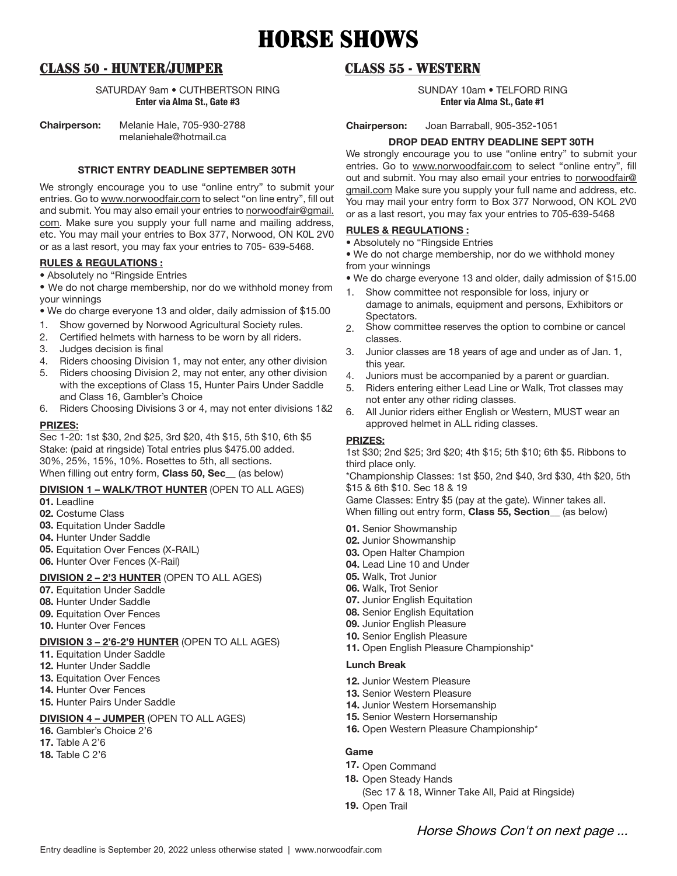# HORSE SHOWS

# CLASS 50 - HUNTER/JUMPER

SATURDAY 9am • CUTHBERTSON RING **Enter via Alma St., Gate #3**

**Chairperson:** Melanie Hale, 705-930-2788 melaniehale@hotmail.ca

**STRICT ENTRY DEADLINE SEPTEMBER 30TH**

We strongly encourage you to use "online entry" to submit your entries. Go to www.norwoodfair.com to select "on line entry", fill out and submit. You may also email your entries to norwoodfair@gmail. com. Make sure you supply your full name and mailing address, etc. You may mail your entries to Box 377, Norwood, ON K0L 2V0 or as a last resort, you may fax your entries to 705- 639-5468.

#### **RULES & REGULATIONS :**

• Absolutely no "Ringside Entries

• We do not charge membership, nor do we withhold money from your winnings

• We do charge everyone 13 and older, daily admission of \$15.00

- 1. Show governed by Norwood Agricultural Society rules.
- 2. Certified helmets with harness to be worn by all riders.
- 3. Judges decision is final
- 4. Riders choosing Division 1, may not enter, any other division
- 5. Riders choosing Division 2, may not enter, any other division with the exceptions of Class 15, Hunter Pairs Under Saddle and Class 16, Gambler's Choice
- 6. Riders Choosing Divisions 3 or 4, may not enter divisions 1&2

#### **PRIZES:**

Sec 1-20: 1st \$30, 2nd \$25, 3rd \$20, 4th \$15, 5th \$10, 6th \$5 Stake: (paid at ringside) Total entries plus \$475.00 added. 30%, 25%, 15%, 10%. Rosettes to 5th, all sections. When filling out entry form, **Class 50, Sec\_\_** (as below)

#### **DIVISION 1 – WALK/TROT HUNTER** (OPEN TO ALL AGES)

**01.** Leadline

- **02.** Costume Class
- **03.** Equitation Under Saddle
- **04.** Hunter Under Saddle
- **05.** Equitation Over Fences (X-RAIL)
- **06.** Hunter Over Fences (X-Rail)

## **DIVISION 2 – 2'3 HUNTER** (OPEN TO ALL AGES)

- **07.** Equitation Under Saddle
- **08.** Hunter Under Saddle
- **09.** Equitation Over Fences
- **10.** Hunter Over Fences

### **DIVISION 3 – 2'6-2'9 HUNTER** (OPEN TO ALL AGES)

- **11.** Equitation Under Saddle
- **12.** Hunter Under Saddle
- **13. Equitation Over Fences**
- **14.** Hunter Over Fences
- **15.** Hunter Pairs Under Saddle

### **DIVISION 4 – JUMPER** (OPEN TO ALL AGES)

- **16.** Gambler's Choice 2'6
- **17.** Table A 2'6
- **18.** Table C 2'6

# CLASS 55 - WESTERN

SUNDAY 10am • TELFORD RING **Enter via Alma St., Gate #1**

**Chairperson:** Joan Barraball, 905-352-1051

#### **DROP DEAD ENTRY DEADLINE SEPT 30TH**

We strongly encourage you to use "online entry" to submit your entries. Go to www.norwoodfair.com to select "online entry", fill out and submit. You may also email your entries to norwoodfair@ gmail.com Make sure you supply your full name and address, etc. You may mail your entry form to Box 377 Norwood, ON KOL 2V0 or as a last resort, you may fax your entries to 705-639-5468

#### **RULES & REGULATIONS :**

• Absolutely no "Ringside Entries

• We do not charge membership, nor do we withhold money from your winnings

- We do charge everyone 13 and older, daily admission of \$15.00
- 1. Show committee not responsible for loss, injury or damage to animals, equipment and persons, Exhibitors or Spectators.
- 2. Show committee reserves the option to combine or cancel classes.
- 3. Junior classes are 18 years of age and under as of Jan. 1, this year.
- 4. Juniors must be accompanied by a parent or guardian.
- 5. Riders entering either Lead Line or Walk, Trot classes may not enter any other riding classes.
- 6. All Junior riders either English or Western, MUST wear an approved helmet in ALL riding classes.

#### **PRIZES:**

1st \$30; 2nd \$25; 3rd \$20; 4th \$15; 5th \$10; 6th \$5. Ribbons to third place only.

\*Championship Classes: 1st \$50, 2nd \$40, 3rd \$30, 4th \$20, 5th \$15 & 6th \$10. Sec 18 & 19

Game Classes: Entry \$5 (pay at the gate). Winner takes all. When filling out entry form, **Class 55, Section\_\_** (as below)

- **01.** Senior Showmanship
- **02.** Junior Showmanship
- **03.** Open Halter Champion
- **04.** Lead Line 10 and Under
- **05.** Walk, Trot Junior
- **06.** Walk, Trot Senior
- **07.** Junior English Equitation
- **08.** Senior English Equitation
- **09.** Junior English Pleasure
- **10.** Senior English Pleasure
- **11.** Open English Pleasure Championship\*

#### **Lunch Break**

- **12.** Junior Western Pleasure
- **13.** Senior Western Pleasure
- **14.** Junior Western Horsemanship
- **15.** Senior Western Horsemanship
- **16.** Open Western Pleasure Championship\*

#### **Game**

- **17.** Open Command
- **18.** Open Steady Hands
	- (Sec 17 & 18, Winner Take All, Paid at Ringside)
- 19. Open Trail